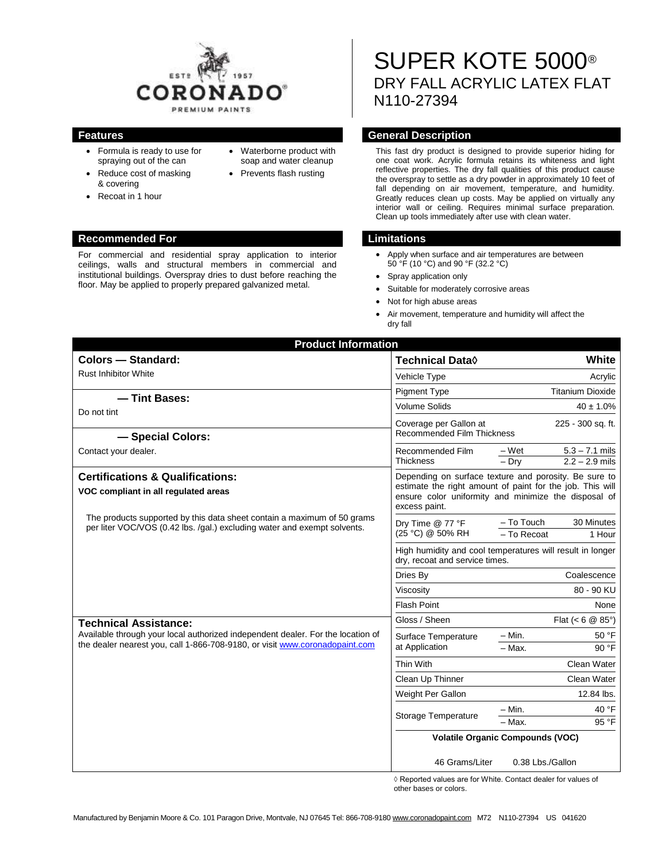

- Formula is ready to use for spraying out of the can
- Reduce cost of masking & covering
- Waterborne product with soap and water cleanup
	- Prevents flash rusting

#### **Recommended For Limitations**

Recoat in 1 hour

For commercial and residential spray application to interior ceilings, walls and structural members in commercial and institutional buildings. Overspray dries to dust before reaching the floor. May be applied to properly prepared galvanized metal.

# SUPER KOTE 5000® DRY FALL ACRYLIC LATEX FLAT N110-27394

### **Features General Description**

This fast dry product is designed to provide superior hiding for one coat work. Acrylic formula retains its whiteness and light reflective properties. The dry fall qualities of this product cause the overspray to settle as a dry powder in approximately 10 feet of fall depending on air movement, temperature, and humidity. Greatly reduces clean up costs. May be applied on virtually any interior wall or ceiling. Requires minimal surface preparation. Clean up tools immediately after use with clean water.

- Apply when surface and air temperatures are between 50 °F (10 °C) and 90 °F (32.2 °C)
- Spray application only
- Suitable for moderately corrosive areas
- Not for high abuse areas
- Air movement, temperature and humidity will affect the dry fall

| <b>Product Information</b>                                                                                                                                                                                                                                                                                                            |                                                                                                                                                                                             |                                                          |
|---------------------------------------------------------------------------------------------------------------------------------------------------------------------------------------------------------------------------------------------------------------------------------------------------------------------------------------|---------------------------------------------------------------------------------------------------------------------------------------------------------------------------------------------|----------------------------------------------------------|
| <b>Colors - Standard:</b>                                                                                                                                                                                                                                                                                                             | <b>Technical Data</b> ♦                                                                                                                                                                     | White                                                    |
| <b>Rust Inhibitor White</b>                                                                                                                                                                                                                                                                                                           | Vehicle Type                                                                                                                                                                                | Acrylic                                                  |
| - Tint Bases:<br>Do not tint                                                                                                                                                                                                                                                                                                          | <b>Pigment Type</b>                                                                                                                                                                         | <b>Titanium Dioxide</b>                                  |
|                                                                                                                                                                                                                                                                                                                                       | <b>Volume Solids</b>                                                                                                                                                                        | $40 \pm 1.0\%$                                           |
|                                                                                                                                                                                                                                                                                                                                       | Coverage per Gallon at<br>225 - 300 sq. ft.<br><b>Recommended Film Thickness</b>                                                                                                            |                                                          |
| - Special Colors:                                                                                                                                                                                                                                                                                                                     |                                                                                                                                                                                             |                                                          |
| Contact your dealer.                                                                                                                                                                                                                                                                                                                  | Recommended Film<br><b>Thickness</b>                                                                                                                                                        | – Wet<br>$5.3 - 7.1$ mils<br>$2.2 - 2.9$ mils<br>$-$ Drv |
| <b>Certifications &amp; Qualifications:</b><br>VOC compliant in all regulated areas                                                                                                                                                                                                                                                   | Depending on surface texture and porosity. Be sure to<br>estimate the right amount of paint for the job. This will<br>ensure color uniformity and minimize the disposal of<br>excess paint. |                                                          |
| The products supported by this data sheet contain a maximum of 50 grams<br>per liter VOC/VOS (0.42 lbs. /gal.) excluding water and exempt solvents.                                                                                                                                                                                   | Dry Time @ 77 °F<br>(25 °C) @ 50% RH                                                                                                                                                        | - To Touch<br>30 Minutes<br>- To Recoat<br>1 Hour        |
|                                                                                                                                                                                                                                                                                                                                       | High humidity and cool temperatures will result in longer<br>dry, recoat and service times.                                                                                                 |                                                          |
|                                                                                                                                                                                                                                                                                                                                       | Dries By                                                                                                                                                                                    | Coalescence                                              |
|                                                                                                                                                                                                                                                                                                                                       | Viscosity                                                                                                                                                                                   | 80 - 90 KU                                               |
|                                                                                                                                                                                                                                                                                                                                       | <b>Flash Point</b>                                                                                                                                                                          | None                                                     |
| Gloss / Sheen<br><b>Technical Assistance:</b><br>Available through your local authorized independent dealer. For the location of<br>Surface Temperature<br>the dealer nearest you, call 1-866-708-9180, or visit www.coronadopaint.com<br>at Application<br>Thin With<br>Clean Up Thinner<br>Weight Per Gallon<br>Storage Temperature |                                                                                                                                                                                             | Flat $(< 6 \ @ 85^{\circ})$                              |
|                                                                                                                                                                                                                                                                                                                                       |                                                                                                                                                                                             | $-$ Min.<br>50 °F                                        |
|                                                                                                                                                                                                                                                                                                                                       |                                                                                                                                                                                             | $-Max$ .<br>90 °F                                        |
|                                                                                                                                                                                                                                                                                                                                       |                                                                                                                                                                                             | Clean Water                                              |
|                                                                                                                                                                                                                                                                                                                                       |                                                                                                                                                                                             | Clean Water                                              |
|                                                                                                                                                                                                                                                                                                                                       |                                                                                                                                                                                             | 12.84 lbs.                                               |
|                                                                                                                                                                                                                                                                                                                                       |                                                                                                                                                                                             | 40 °F<br>$- Min.$<br>$-$ Max.<br>95 °F                   |
|                                                                                                                                                                                                                                                                                                                                       | <b>Volatile Organic Compounds (VOC)</b>                                                                                                                                                     |                                                          |
|                                                                                                                                                                                                                                                                                                                                       | 46 Grams/Liter                                                                                                                                                                              | 0.38 Lbs./Gallon                                         |

 ◊ Reported values are for White. Contact dealer for values of other bases or colors.